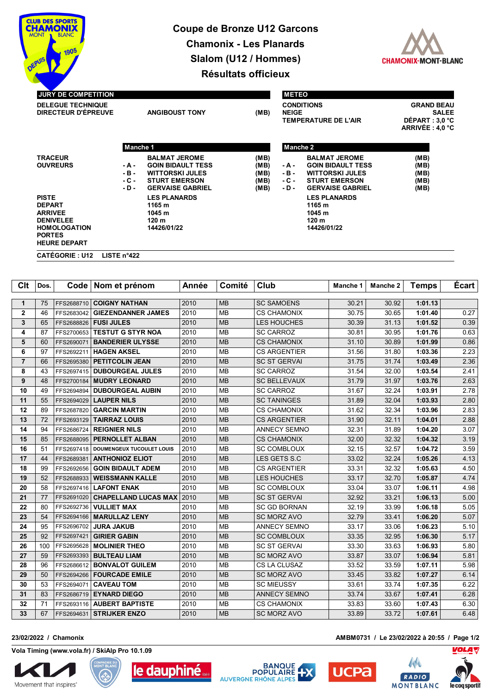

## **Coupe de Bronze U12 Garcons Chamonix - Les Planards Slalom (U12 / Hommes) Résultats officieux**



| <b>JURY DE COMPETITION</b>                                                                                                         |                                   |                                                                                                                               |                                      |                                                                  | <b>METEO</b>                                                                                                                  |                                                                          |  |  |  |
|------------------------------------------------------------------------------------------------------------------------------------|-----------------------------------|-------------------------------------------------------------------------------------------------------------------------------|--------------------------------------|------------------------------------------------------------------|-------------------------------------------------------------------------------------------------------------------------------|--------------------------------------------------------------------------|--|--|--|
| <b>DELEGUE TECHNIQUE</b><br>DIRECTEUR D'ÉPREUVE                                                                                    |                                   | <b>ANGIBOUST TONY</b>                                                                                                         |                                      | <b>CONDITIONS</b><br><b>NEIGE</b><br><b>TEMPERATURE DE L'AIR</b> |                                                                                                                               | <b>GRAND BEAU</b><br><b>SALEE</b><br>DÉPART : 3,0 °C<br>ARRIVÉE : 4,0 °C |  |  |  |
|                                                                                                                                    |                                   | <b>Manche 1</b>                                                                                                               |                                      |                                                                  | Manche 2                                                                                                                      |                                                                          |  |  |  |
| <b>TRACEUR</b><br><b>OUVREURS</b>                                                                                                  | - A -<br>$-B -$<br>- C -<br>$-D-$ | <b>BALMAT JEROME</b><br><b>GOIN BIDAULT TESS</b><br><b>WITTORSKI JULES</b><br><b>STURT EMERSON</b><br><b>GERVAISE GABRIEL</b> | (MB)<br>(MB)<br>(MB)<br>(MB)<br>(MB) | - A -<br>- B -<br>$-C -$<br>$-D -$                               | <b>BALMAT JEROME</b><br><b>GOIN BIDAULT TESS</b><br><b>WITTORSKI JULES</b><br><b>STURT EMERSON</b><br><b>GERVAISE GABRIEL</b> | (MB)<br>(MB)<br>(MB)<br>(MB)<br>(MB)                                     |  |  |  |
| <b>PISTE</b><br><b>DEPART</b><br><b>ARRIVEE</b><br><b>DENIVELEE</b><br><b>HOMOLOGATION</b><br><b>PORTES</b><br><b>HEURE DEPART</b> |                                   | <b>LES PLANARDS</b><br>1165 m<br>1045 m<br>120 <sub>m</sub><br>14426/01/22                                                    |                                      |                                                                  | <b>LES PLANARDS</b><br>1165 m<br>1045 m<br>120 <sub>m</sub><br>14426/01/22                                                    |                                                                          |  |  |  |
| <b>CATÉGORIE : U12</b>                                                                                                             | LISTE $n^{\circ}422$              |                                                                                                                               |                                      |                                                                  |                                                                                                                               |                                                                          |  |  |  |

| Clt            | Dos. |            | Code   Nom et prénom             | Année | Comité    | Club                | Manche 1 | Manche 2 | <b>Temps</b> | <b>Ecart</b> |
|----------------|------|------------|----------------------------------|-------|-----------|---------------------|----------|----------|--------------|--------------|
| $\mathbf{1}$   | 75   | FFS2688710 | <b>COIGNY NATHAN</b>             | 2010  | <b>MB</b> | <b>SC SAMOENS</b>   | 30.21    | 30.92    | 1:01.13      |              |
| 2              | 46   | FFS2683042 | <b>GIEZENDANNER JAMES</b>        | 2010  | <b>MB</b> | <b>CS CHAMONIX</b>  | 30.75    | 30.65    | 1:01.40      | 0.27         |
| 3              | 65   | FFS2688826 | <b>FUSI JULES</b>                | 2010  | <b>MB</b> | LES HOUCHES         | 30.39    | 31.13    | 1:01.52      | 0.39         |
| 4              | 87   | FFS2700653 | <b>TESTUT G STYR NOA</b>         | 2010  | <b>MB</b> | <b>SC CARROZ</b>    | 30.81    | 30.95    | 1:01.76      | 0.63         |
| 5              | 60   | FFS2690071 | <b>BANDERIER ULYSSE</b>          | 2010  | <b>MB</b> | <b>CS CHAMONIX</b>  | 31.10    | 30.89    | 1:01.99      | 0.86         |
| 6              | 97   | FFS2692211 | <b>HAGEN AKSEL</b>               | 2010  | <b>MB</b> | <b>CS ARGENTIER</b> | 31.56    | 31.80    | 1:03.36      | 2.23         |
| $\overline{7}$ | 66   | FFS2695380 | <b>PETITCOLIN JEAN</b>           | 2010  | <b>MB</b> | <b>SC ST GERVAI</b> | 31.75    | 31.74    | 1:03.49      | 2.36         |
| 8              | 43   | FFS2697415 | <b>DUBOURGEAL JULES</b>          | 2010  | <b>MB</b> | <b>SC CARROZ</b>    | 31.54    | 32.00    | 1:03.54      | 2.41         |
| 9              | 48   | FFS2700184 | <b>MUDRY LEONARD</b>             | 2010  | <b>MB</b> | <b>SC BELLEVAUX</b> | 31.79    | 31.97    | 1:03.76      | 2.63         |
| 10             | 49   | FFS2694894 | <b>DUBOURGEAL AUBIN</b>          | 2010  | <b>MB</b> | <b>SC CARROZ</b>    | 31.67    | 32.24    | 1:03.91      | 2.78         |
| 11             | 55   | FFS2694029 | <b>LAUPER NILS</b>               | 2010  | <b>MB</b> | <b>SC TANINGES</b>  | 31.89    | 32.04    | 1:03.93      | 2.80         |
| 12             | 89   | FFS2687820 | <b>GARCIN MARTIN</b>             | 2010  | <b>MB</b> | <b>CS CHAMONIX</b>  | 31.62    | 32.34    | 1:03.96      | 2.83         |
| 13             | 72   | FFS2693129 | <b>TAIRRAZ LOUIS</b>             | 2010  | <b>MB</b> | <b>CS ARGENTIER</b> | 31.90    | 32.11    | 1:04.01      | 2.88         |
| 14             | 94   | FFS2686724 | <b>REIGNIER NILS</b>             | 2010  | <b>MB</b> | <b>ANNECY SEMNO</b> | 32.31    | 31.89    | 1:04.20      | 3.07         |
| 15             | 85   | FFS2688095 | <b>PERNOLLET ALBAN</b>           | 2010  | <b>MB</b> | <b>CS CHAMONIX</b>  | 32.00    | 32.32    | 1:04.32      | 3.19         |
| 16             | 51   | FFS2697418 | <b>DOUMENGEUX TUCOULET LOUIS</b> | 2010  | <b>MB</b> | <b>SC COMBLOUX</b>  | 32.15    | 32.57    | 1:04.72      | 3.59         |
| 17             | 44   | FFS2689381 | <b>ANTHONIOZ ELIOT</b>           | 2010  | <b>MB</b> | LES GETS S.C        | 33.02    | 32.24    | 1:05.26      | 4.13         |
| 18             | 99   | FFS2692656 | <b>GOIN BIDAULT ADEM</b>         | 2010  | <b>MB</b> | <b>CS ARGENTIER</b> | 33.31    | 32.32    | 1:05.63      | 4.50         |
| 19             | 52   | FFS2688933 | <b>WEISSMANN KALLE</b>           | 2010  | <b>MB</b> | LES HOUCHES         | 33.17    | 32.70    | 1:05.87      | 4.74         |
| 20             | 58   | FFS2697416 | <b>LAFONT ENAK</b>               | 2010  | <b>MB</b> | <b>SC COMBLOUX</b>  | 33.04    | 33.07    | 1:06.11      | 4.98         |
| 21             | 77   | FFS2691020 | <b>CHAPELLAND LUCAS MAX</b>      | 2010  | <b>MB</b> | <b>SC ST GERVAI</b> | 32.92    | 33.21    | 1:06.13      | 5.00         |
| 22             | 80   | FFS2692736 | <b>VULLIET MAX</b>               | 2010  | <b>MB</b> | <b>SC GD BORNAN</b> | 32.19    | 33.99    | 1:06.18      | 5.05         |
| 23             | 54   | FFS2694166 | <b>MARULLAZ LENY</b>             | 2010  | <b>MB</b> | <b>SC MORZ AVO</b>  | 32.79    | 33.41    | 1:06.20      | 5.07         |
| 24             | 95   | FFS2696702 | <b>JURA JAKUB</b>                | 2010  | <b>MB</b> | <b>ANNECY SEMNO</b> | 33.17    | 33.06    | 1:06.23      | 5.10         |
| 25             | 92   | FFS2697421 | <b>GIRIER GABIN</b>              | 2010  | <b>MB</b> | <b>SC COMBLOUX</b>  | 33.35    | 32.95    | 1:06.30      | 5.17         |
| 26             | 100  | FFS2695628 | <b>MOLINIER THEO</b>             | 2010  | <b>MB</b> | <b>SC ST GERVAI</b> | 33.30    | 33.63    | 1:06.93      | 5.80         |
| 27             | 59   | FFS2693393 | <b>BULTEAU LIAM</b>              | 2010  | <b>MB</b> | <b>SC MORZ AVO</b>  | 33.87    | 33.07    | 1:06.94      | 5.81         |
| 28             | 96   | FFS2686612 | <b>BONVALOT GUILEM</b>           | 2010  | <b>MB</b> | CS LA CLUSAZ        | 33.52    | 33.59    | 1:07.11      | 5.98         |
| 29             | 50   | FFS2694266 | <b>FOURCADE EMILE</b>            | 2010  | <b>MB</b> | <b>SC MORZ AVO</b>  | 33.45    | 33.82    | 1:07.27      | 6.14         |
| 30             | 53   | FFS2694071 | <b>CAVEAU TOM</b>                | 2010  | <b>MB</b> | <b>SC MIEUSSY</b>   | 33.61    | 33.74    | 1:07.35      | 6.22         |
| 31             | 83   | FFS2686719 | <b>EYNARD DIEGO</b>              | 2010  | <b>MB</b> | <b>ANNECY SEMNO</b> | 33.74    | 33.67    | 1:07.41      | 6.28         |
| 32             | 71   | FFS2693116 | <b>AUBERT BAPTISTE</b>           | 2010  | <b>MB</b> | CS CHAMONIX         | 33.83    | 33.60    | 1:07.43      | 6.30         |
| 33             | 67   |            | FFS2694631   STRIJKER ENZO       | 2010  | <b>MB</b> | <b>SC MORZ AVO</b>  | 33.89    | 33.72    | 1:07.61      | 6.48         |

## **23/02/2022 / Chamonix AMBM0731 / Le 23/02/2022 à 20:55 / Page 1/2**

**Vola Timing (www.vola.fr) / SkiAlp Pro 10.1.09**